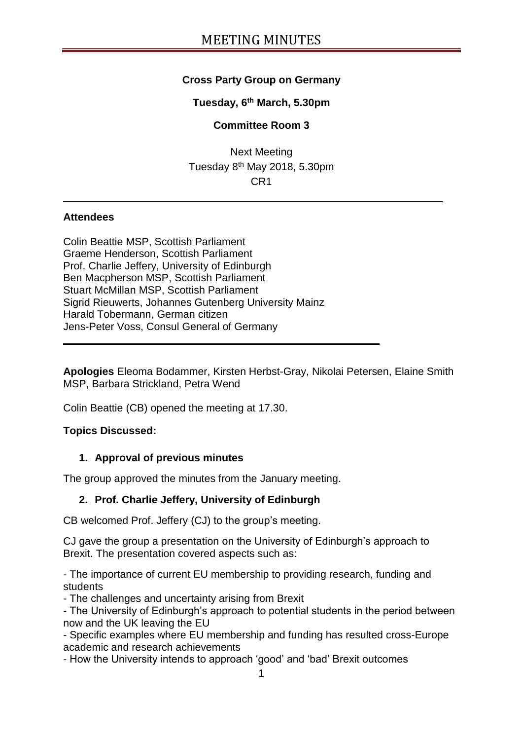## **Cross Party Group on Germany**

#### **Tuesday, 6 th March, 5.30pm**

#### **Committee Room 3**

Next Meeting Tuesday 8<sup>th</sup> May 2018, 5.30pm CR1

#### **Attendees**

Colin Beattie MSP, Scottish Parliament Graeme Henderson, Scottish Parliament Prof. Charlie Jeffery, University of Edinburgh Ben Macpherson MSP, Scottish Parliament Stuart McMillan MSP, Scottish Parliament Sigrid Rieuwerts, Johannes Gutenberg University Mainz Harald Tobermann, German citizen Jens-Peter Voss, Consul General of Germany

**Apologies** Eleoma Bodammer, Kirsten Herbst-Gray, Nikolai Petersen, Elaine Smith MSP, Barbara Strickland, Petra Wend

Colin Beattie (CB) opened the meeting at 17.30.

#### **Topics Discussed:**

#### **1. Approval of previous minutes**

The group approved the minutes from the January meeting.

#### **2. Prof. Charlie Jeffery, University of Edinburgh**

CB welcomed Prof. Jeffery (CJ) to the group's meeting.

CJ gave the group a presentation on the University of Edinburgh's approach to Brexit. The presentation covered aspects such as:

- The importance of current EU membership to providing research, funding and students

- The challenges and uncertainty arising from Brexit

- The University of Edinburgh's approach to potential students in the period between now and the UK leaving the EU

- Specific examples where EU membership and funding has resulted cross-Europe academic and research achievements

- How the University intends to approach 'good' and 'bad' Brexit outcomes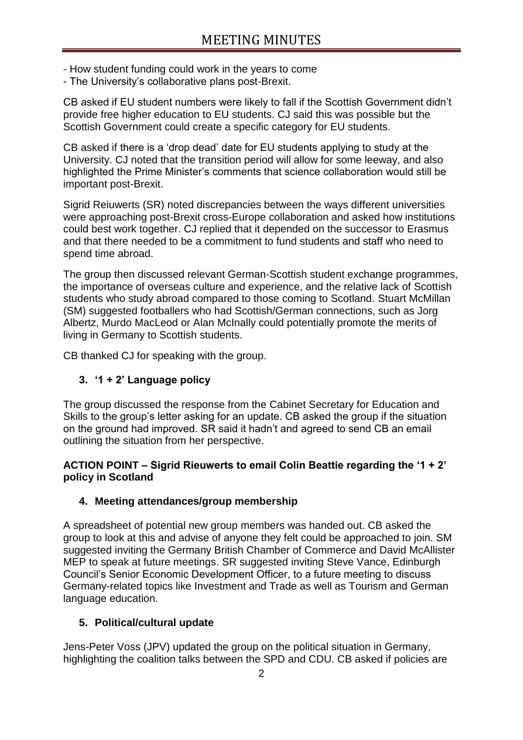- How student funding could work in the years to come
- The University's collaborative plans post-Brexit.

CB asked if EU student numbers were likely to fall if the Scottish Government didn't provide free higher education to EU students. CJ said this was possible but the Scottish Government could create a specific category for EU students.

CB asked if there is a 'drop dead' date for EU students applying to study at the University. CJ noted that the transition period will allow for some leeway, and also highlighted the Prime Minister's comments that science collaboration would still be important post-Brexit.

Sigrid Reiuwerts (SR) noted discrepancies between the ways different universities were approaching post-Brexit cross-Europe collaboration and asked how institutions could best work together. CJ replied that it depended on the successor to Erasmus and that there needed to be a commitment to fund students and staff who need to spend time abroad.

The group then discussed relevant German-Scottish student exchange programmes, the importance of overseas culture and experience, and the relative lack of Scottish students who study abroad compared to those coming to Scotland. Stuart McMillan (SM) suggested footballers who had Scottish/German connections, such as Jorg Albertz, Murdo MacLeod or Alan McInally could potentially promote the merits of living in Germany to Scottish students.

CB thanked CJ for speaking with the group.

### **3. '1 + 2' Language policy**

The group discussed the response from the Cabinet Secretary for Education and Skills to the group's letter asking for an update. CB asked the group if the situation on the ground had improved. SR said it hadn't and agreed to send CB an email outlining the situation from her perspective.

#### **ACTION POINT – Sigrid Rieuwerts to email Colin Beattie regarding the '1 + 2' policy in Scotland**

#### **4. Meeting attendances/group membership**

A spreadsheet of potential new group members was handed out. CB asked the group to look at this and advise of anyone they felt could be approached to join. SM suggested inviting the Germany British Chamber of Commerce and David McAllister MEP to speak at future meetings. SR suggested inviting Steve Vance, Edinburgh Council's Senior Economic Development Officer, to a future meeting to discuss Germany-related topics like Investment and Trade as well as Tourism and German language education.

#### **5. Political/cultural update**

Jens-Peter Voss (JPV) updated the group on the political situation in Germany, highlighting the coalition talks between the SPD and CDU. CB asked if policies are